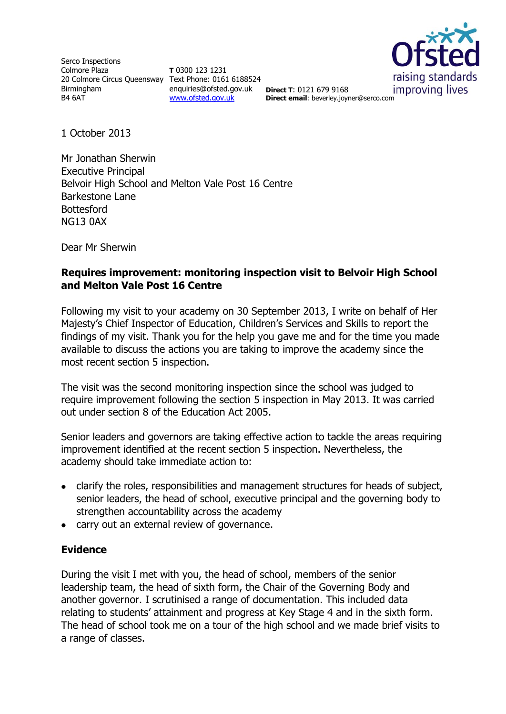Serco Inspections Colmore Plaza 20 Colmore Circus Queensway Text Phone: 0161 6188524 Birmingham B4 6AT

**T** 0300 123 1231 enquiries@ofsted.gov.uk **Direct T**: 0121 679 9168 [www.ofsted.gov.uk](http://www.ofsted.gov.uk/)



**Direct email**: beverley.joyner@serco.com

1 October 2013

Mr Jonathan Sherwin Executive Principal Belvoir High School and Melton Vale Post 16 Centre Barkestone Lane **Bottesford** NG13 0AX

Dear Mr Sherwin

# **Requires improvement: monitoring inspection visit to Belvoir High School and Melton Vale Post 16 Centre**

Following my visit to your academy on 30 September 2013, I write on behalf of Her Majesty's Chief Inspector of Education, Children's Services and Skills to report the findings of my visit. Thank you for the help you gave me and for the time you made available to discuss the actions you are taking to improve the academy since the most recent section 5 inspection.

The visit was the second monitoring inspection since the school was judged to require improvement following the section 5 inspection in May 2013. It was carried out under section 8 of the Education Act 2005.

Senior leaders and governors are taking effective action to tackle the areas requiring improvement identified at the recent section 5 inspection. Nevertheless, the academy should take immediate action to:

- clarify the roles, responsibilities and management structures for heads of subject, senior leaders, the head of school, executive principal and the governing body to strengthen accountability across the academy
- carry out an external review of governance.

## **Evidence**

During the visit I met with you, the head of school, members of the senior leadership team, the head of sixth form, the Chair of the Governing Body and another governor. I scrutinised a range of documentation. This included data relating to students' attainment and progress at Key Stage 4 and in the sixth form. The head of school took me on a tour of the high school and we made brief visits to a range of classes.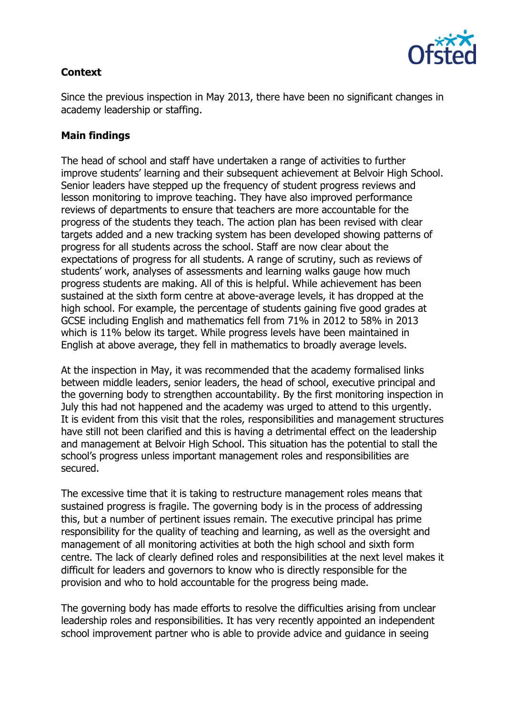

# **Context**

Since the previous inspection in May 2013, there have been no significant changes in academy leadership or staffing.

# **Main findings**

The head of school and staff have undertaken a range of activities to further improve students' learning and their subsequent achievement at Belvoir High School. Senior leaders have stepped up the frequency of student progress reviews and lesson monitoring to improve teaching. They have also improved performance reviews of departments to ensure that teachers are more accountable for the progress of the students they teach. The action plan has been revised with clear targets added and a new tracking system has been developed showing patterns of progress for all students across the school. Staff are now clear about the expectations of progress for all students. A range of scrutiny, such as reviews of students' work, analyses of assessments and learning walks gauge how much progress students are making. All of this is helpful. While achievement has been sustained at the sixth form centre at above-average levels, it has dropped at the high school. For example, the percentage of students gaining five good grades at GCSE including English and mathematics fell from 71% in 2012 to 58% in 2013 which is 11% below its target. While progress levels have been maintained in English at above average, they fell in mathematics to broadly average levels.

At the inspection in May, it was recommended that the academy formalised links between middle leaders, senior leaders, the head of school, executive principal and the governing body to strengthen accountability. By the first monitoring inspection in July this had not happened and the academy was urged to attend to this urgently. It is evident from this visit that the roles, responsibilities and management structures have still not been clarified and this is having a detrimental effect on the leadership and management at Belvoir High School. This situation has the potential to stall the school's progress unless important management roles and responsibilities are secured.

The excessive time that it is taking to restructure management roles means that sustained progress is fragile. The governing body is in the process of addressing this, but a number of pertinent issues remain. The executive principal has prime responsibility for the quality of teaching and learning, as well as the oversight and management of all monitoring activities at both the high school and sixth form centre. The lack of clearly defined roles and responsibilities at the next level makes it difficult for leaders and governors to know who is directly responsible for the provision and who to hold accountable for the progress being made.

The governing body has made efforts to resolve the difficulties arising from unclear leadership roles and responsibilities. It has very recently appointed an independent school improvement partner who is able to provide advice and guidance in seeing